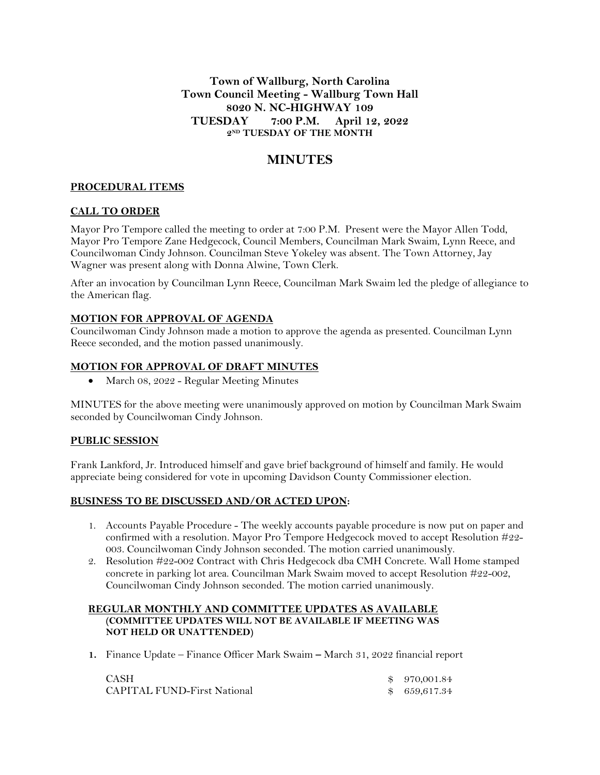**Town of Wallburg, North Carolina Town Council Meeting - Wallburg Town Hall 8020 N. NC-HIGHWAY 109 TUESDAY 7:00 P.M. April 12, 2022 2 ND TUESDAY OF THE MONTH**

# **MINUTES**

### **PROCEDURAL ITEMS**

#### **CALL TO ORDER**

Mayor Pro Tempore called the meeting to order at 7:00 P.M. Present were the Mayor Allen Todd, Mayor Pro Tempore Zane Hedgecock, Council Members, Councilman Mark Swaim, Lynn Reece, and Councilwoman Cindy Johnson. Councilman Steve Yokeley was absent. The Town Attorney, Jay Wagner was present along with Donna Alwine, Town Clerk.

After an invocation by Councilman Lynn Reece, Councilman Mark Swaim led the pledge of allegiance to the American flag.

#### **MOTION FOR APPROVAL OF AGENDA**

Councilwoman Cindy Johnson made a motion to approve the agenda as presented. Councilman Lynn Reece seconded, and the motion passed unanimously.

#### **MOTION FOR APPROVAL OF DRAFT MINUTES**

March 08, 2022 - Regular Meeting Minutes

MINUTES for the above meeting were unanimously approved on motion by Councilman Mark Swaim seconded by Councilwoman Cindy Johnson.

# **PUBLIC SESSION**

Frank Lankford, Jr. Introduced himself and gave brief background of himself and family. He would appreciate being considered for vote in upcoming Davidson County Commissioner election.

#### **BUSINESS TO BE DISCUSSED AND/OR ACTED UPON:**

- 1. Accounts Payable Procedure The weekly accounts payable procedure is now put on paper and confirmed with a resolution. Mayor Pro Tempore Hedgecock moved to accept Resolution #22- 003. Councilwoman Cindy Johnson seconded. The motion carried unanimously.
- 2. Resolution #22-002 Contract with Chris Hedgecock dba CMH Concrete. Wall Home stamped concrete in parking lot area. Councilman Mark Swaim moved to accept Resolution #22-002, Councilwoman Cindy Johnson seconded. The motion carried unanimously.

#### **REGULAR MONTHLY AND COMMITTEE UPDATES AS AVAILABLE (COMMITTEE UPDATES WILL NOT BE AVAILABLE IF MEETING WAS NOT HELD OR UNATTENDED)**

**1.** Finance Update – Finance Officer Mark Swaim **–** March 31, 2022 financial report

| <b>CASH</b>                        | \$ 970,001.84 |
|------------------------------------|---------------|
| <b>CAPITAL FUND-First National</b> | \$ 659,617.34 |